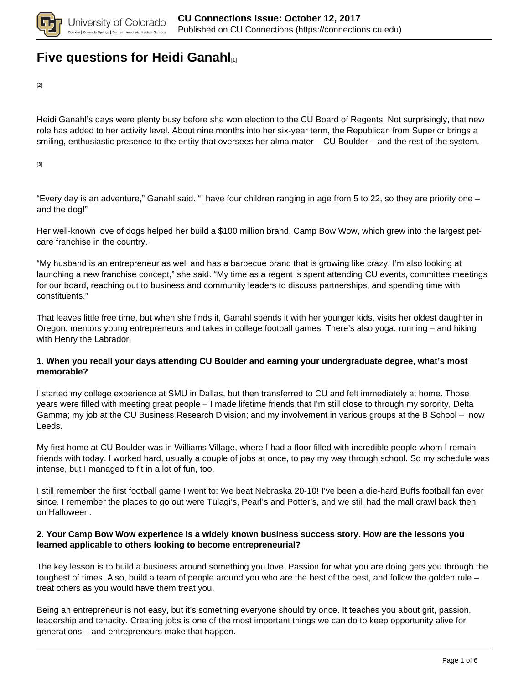

# **[Five questions for Heidi Ganahl](https://connections.cu.edu/spotlights/five-questions-heidi-ganahl)**

[2]

Heidi Ganahl's days were plenty busy before she won election to the CU Board of Regents. Not surprisingly, that new role has added to her activity level. About nine months into her six-year term, the Republican from Superior brings a smiling, enthusiastic presence to the entity that oversees her alma mater – CU Boulder – and the rest of the system.

[3]

"Every day is an adventure," Ganahl said. "I have four children ranging in age from 5 to 22, so they are priority one – and the dog!"

Her well-known love of dogs helped her build a \$100 million brand, Camp Bow Wow, which grew into the largest petcare franchise in the country.

"My husband is an entrepreneur as well and has a barbecue brand that is growing like crazy. I'm also looking at launching a new franchise concept," she said. "My time as a regent is spent attending CU events, committee meetings for our board, reaching out to business and community leaders to discuss partnerships, and spending time with constituents."

That leaves little free time, but when she finds it, Ganahl spends it with her younger kids, visits her oldest daughter in Oregon, mentors young entrepreneurs and takes in college football games. There's also yoga, running – and hiking with Henry the Labrador.

### **1. When you recall your days attending CU Boulder and earning your undergraduate degree, what's most memorable?**

I started my college experience at SMU in Dallas, but then transferred to CU and felt immediately at home. Those years were filled with meeting great people – I made lifetime friends that I'm still close to through my sorority, Delta Gamma; my job at the CU Business Research Division; and my involvement in various groups at the B School – now Leeds.

My first home at CU Boulder was in Williams Village, where I had a floor filled with incredible people whom I remain friends with today. I worked hard, usually a couple of jobs at once, to pay my way through school. So my schedule was intense, but I managed to fit in a lot of fun, too.

I still remember the first football game I went to: We beat Nebraska 20-10! I've been a die-hard Buffs football fan ever since. I remember the places to go out were Tulagi's, Pearl's and Potter's, and we still had the mall crawl back then on Halloween.

#### **2. Your Camp Bow Wow experience is a widely known business success story. How are the lessons you learned applicable to others looking to become entrepreneurial?**

The key lesson is to build a business around something you love. Passion for what you are doing gets you through the toughest of times. Also, build a team of people around you who are the best of the best, and follow the golden rule – treat others as you would have them treat you.

Being an entrepreneur is not easy, but it's something everyone should try once. It teaches you about grit, passion, leadership and tenacity. Creating jobs is one of the most important things we can do to keep opportunity alive for generations – and entrepreneurs make that happen.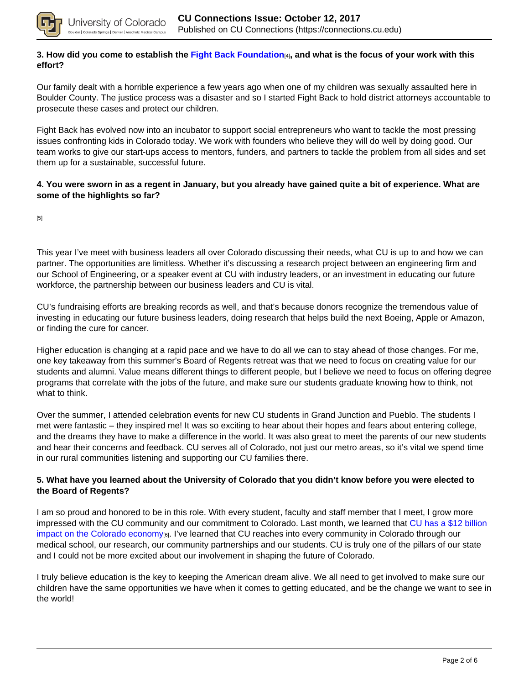

### **3. How did you come to establish the Fight Back Foundation**[4]**, and what is the focus of your work with this effort?**

Our family dealt with a horrible experience a few years ago when one of my children was sexually assaulted here in Boulder County. The justice process was a disaster and so I started Fight Back to hold district attorneys accountable to prosecute these cases and protect our children.

Fight Back has evolved now into an incubator to support social entrepreneurs who want to tackle the most pressing issues confronting kids in Colorado today. We work with founders who believe they will do well by doing good. Our team works to give our start-ups access to mentors, funders, and partners to tackle the problem from all sides and set them up for a sustainable, successful future.

### **4. You were sworn in as a regent in January, but you already have gained quite a bit of experience. What are some of the highlights so far?**

[5]

This year I've meet with business leaders all over Colorado discussing their needs, what CU is up to and how we can partner. The opportunities are limitless. Whether it's discussing a research project between an engineering firm and our School of Engineering, or a speaker event at CU with industry leaders, or an investment in educating our future workforce, the partnership between our business leaders and CU is vital.

CU's fundraising efforts are breaking records as well, and that's because donors recognize the tremendous value of investing in educating our future business leaders, doing research that helps build the next Boeing, Apple or Amazon, or finding the cure for cancer.

Higher education is changing at a rapid pace and we have to do all we can to stay ahead of those changes. For me, one key takeaway from this summer's Board of Regents retreat was that we need to focus on creating value for our students and alumni. Value means different things to different people, but I believe we need to focus on offering degree programs that correlate with the jobs of the future, and make sure our students graduate knowing how to think, not what to think.

Over the summer, I attended celebration events for new CU students in Grand Junction and Pueblo. The students I met were fantastic – they inspired me! It was so exciting to hear about their hopes and fears about entering college, and the dreams they have to make a difference in the world. It was also great to meet the parents of our new students and hear their concerns and feedback. CU serves all of Colorado, not just our metro areas, so it's vital we spend time in our rural communities listening and supporting our CU families there.

### **5. What have you learned about the University of Colorado that you didn't know before you were elected to the Board of Regents?**

I am so proud and honored to be in this role. With every student, faculty and staff member that I meet, I grow more impressed with the CU community and our commitment to Colorado. Last month, we learned that CU has a \$12 billion impact on the Colorado economy<sub>[6]</sub>. I've learned that CU reaches into every community in Colorado through our medical school, our research, our community partnerships and our students. CU is truly one of the pillars of our state and I could not be more excited about our involvement in shaping the future of Colorado.

I truly believe education is the key to keeping the American dream alive. We all need to get involved to make sure our children have the same opportunities we have when it comes to getting educated, and be the change we want to see in the world!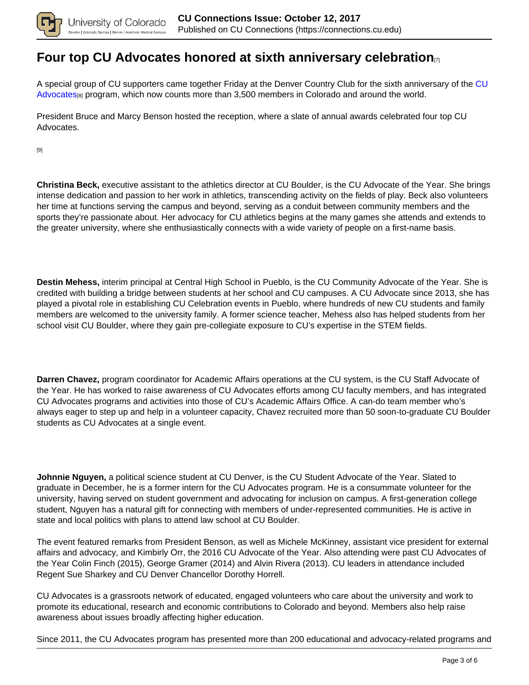

### **Four top CU Advocates honored at sixth anniversary celebration**[7]

A special group of CU supporters came together Friday at the Denver Country Club for the sixth anniversary of the CU Advocates[8] program, which now counts more than 3,500 members in Colorado and around the world.

President Bruce and Marcy Benson hosted the reception, where a slate of annual awards celebrated four top CU Advocates.

[9]

**Christina Beck,** executive assistant to the athletics director at CU Boulder, is the CU Advocate of the Year. She brings intense dedication and passion to her work in athletics, transcending activity on the fields of play. Beck also volunteers her time at functions serving the campus and beyond, serving as a conduit between community members and the sports they're passionate about. Her advocacy for CU athletics begins at the many games she attends and extends to the greater university, where she enthusiastically connects with a wide variety of people on a first-name basis.

**Destin Mehess,** interim principal at Central High School in Pueblo, is the CU Community Advocate of the Year. She is credited with building a bridge between students at her school and CU campuses. A CU Advocate since 2013, she has played a pivotal role in establishing CU Celebration events in Pueblo, where hundreds of new CU students and family members are welcomed to the university family. A former science teacher, Mehess also has helped students from her school visit CU Boulder, where they gain pre-collegiate exposure to CU's expertise in the STEM fields.

**Darren Chavez,** program coordinator for Academic Affairs operations at the CU system, is the CU Staff Advocate of the Year. He has worked to raise awareness of CU Advocates efforts among CU faculty members, and has integrated CU Advocates programs and activities into those of CU's Academic Affairs Office. A can-do team member who's always eager to step up and help in a volunteer capacity, Chavez recruited more than 50 soon-to-graduate CU Boulder students as CU Advocates at a single event.

**Johnnie Nguyen,** a political science student at CU Denver, is the CU Student Advocate of the Year. Slated to graduate in December, he is a former intern for the CU Advocates program. He is a consummate volunteer for the university, having served on student government and advocating for inclusion on campus. A first-generation college student, Nguyen has a natural gift for connecting with members of under-represented communities. He is active in state and local politics with plans to attend law school at CU Boulder.

The event featured remarks from President Benson, as well as Michele McKinney, assistant vice president for external affairs and advocacy, and Kimbirly Orr, the 2016 CU Advocate of the Year. Also attending were past CU Advocates of the Year Colin Finch (2015), George Gramer (2014) and Alvin Rivera (2013). CU leaders in attendance included Regent Sue Sharkey and CU Denver Chancellor Dorothy Horrell.

CU Advocates is a grassroots network of educated, engaged volunteers who care about the university and work to promote its educational, research and economic contributions to Colorado and beyond. Members also help raise awareness about issues broadly affecting higher education.

Since 2011, the CU Advocates program has presented more than 200 educational and advocacy-related programs and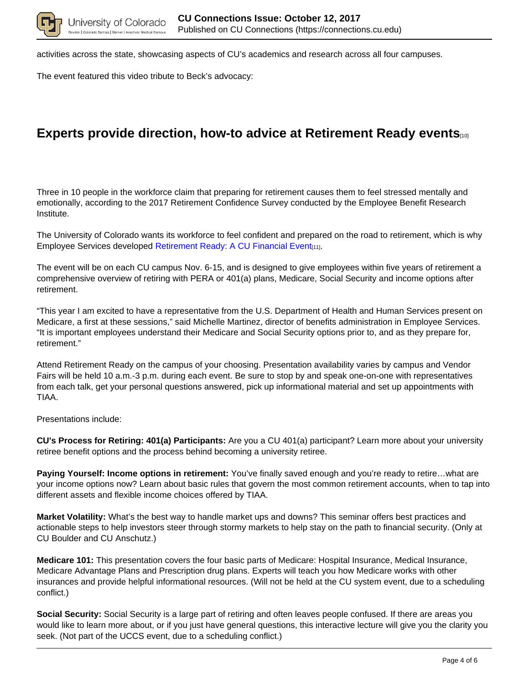

activities across the state, showcasing aspects of CU's academics and research across all four campuses.

The event featured this video tribute to Beck's advocacy:

# **Experts provide direction, how-to advice at Retirement Ready events**[10]

Three in 10 people in the workforce claim that preparing for retirement causes them to feel stressed mentally and emotionally, according to the 2017 Retirement Confidence Survey conducted by the Employee Benefit Research Institute.

The University of Colorado wants its workforce to feel confident and prepared on the road to retirement, which is why Employee Services developed Retirement Ready: A CU Financial Event<sub>[11]</sub>.

The event will be on each CU campus Nov. 6-15, and is designed to give employees within five years of retirement a comprehensive overview of retiring with PERA or 401(a) plans, Medicare, Social Security and income options after retirement.

"This year I am excited to have a representative from the U.S. Department of Health and Human Services present on Medicare, a first at these sessions," said Michelle Martinez, director of benefits administration in Employee Services. "It is important employees understand their Medicare and Social Security options prior to, and as they prepare for, retirement."

Attend Retirement Ready on the campus of your choosing. Presentation availability varies by campus and Vendor Fairs will be held 10 a.m.-3 p.m. during each event. Be sure to stop by and speak one-on-one with representatives from each talk, get your personal questions answered, pick up informational material and set up appointments with TIAA.

Presentations include:

**CU's Process for Retiring: 401(a) Participants:** Are you a CU 401(a) participant? Learn more about your university retiree benefit options and the process behind becoming a university retiree.

**Paying Yourself: Income options in retirement:** You've finally saved enough and you're ready to retire…what are your income options now? Learn about basic rules that govern the most common retirement accounts, when to tap into different assets and flexible income choices offered by TIAA.

**Market Volatility:** What's the best way to handle market ups and downs? This seminar offers best practices and actionable steps to help investors steer through stormy markets to help stay on the path to financial security. (Only at CU Boulder and CU Anschutz.)

**Medicare 101:** This presentation covers the four basic parts of Medicare: Hospital Insurance, Medical Insurance, Medicare Advantage Plans and Prescription drug plans. Experts will teach you how Medicare works with other insurances and provide helpful informational resources. (Will not be held at the CU system event, due to a scheduling conflict.)

**Social Security:** Social Security is a large part of retiring and often leaves people confused. If there are areas you would like to learn more about, or if you just have general questions, this interactive lecture will give you the clarity you seek. (Not part of the UCCS event, due to a scheduling conflict.)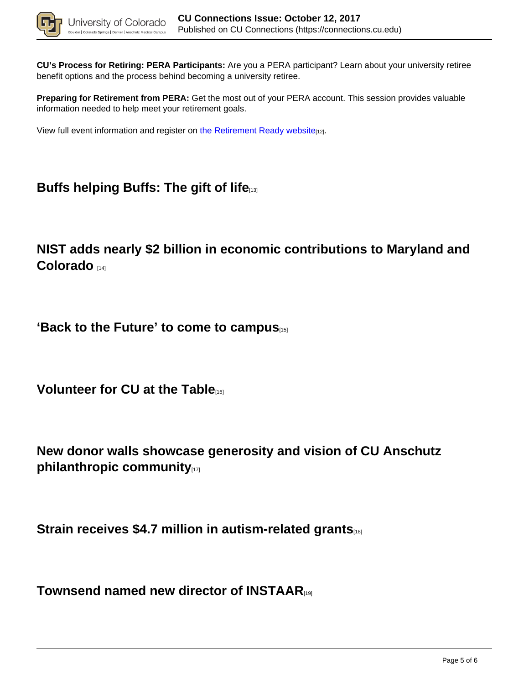

**CU's Process for Retiring: PERA Participants:** Are you a PERA participant? Learn about your university retiree benefit options and the process behind becoming a university retiree.

**Preparing for Retirement from PERA:** Get the most out of your PERA account. This session provides valuable information needed to help meet your retirement goals.

View full event information and register on the Retirement Ready website[12].

# **Buffs helping Buffs: The gift of life**[13]

**NIST adds nearly \$2 billion in economic contributions to Maryland and Colorado** [14]

**'Back to the Future' to come to campus**[15]

**Volunteer for CU at the Table**[16]

**New donor walls showcase generosity and vision of CU Anschutz philanthropic community** 

**Strain receives \$4.7 million in autism-related grants** 

**Townsend named new director of INSTAAR**